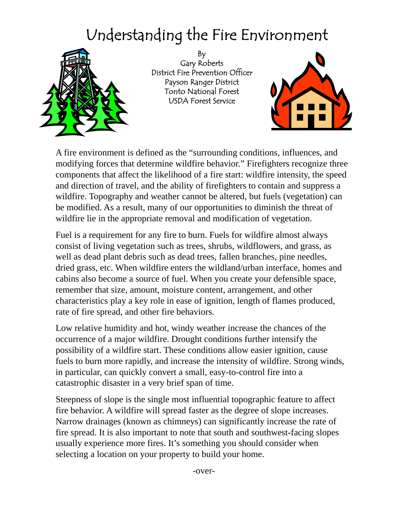## Understanding the Fire Environment



By Gary Roberts District Fire Prevention Officer Payson Ranger District Tonto National Forest USDA Forest Service



A fire environment is defined as the "surrounding conditions, influences, and modifying forces that determine wildfire behavior." Firefighters recognize three components that affect the likelihood of a fire start: wildfire intensity, the speed and direction of travel, and the ability of firefighters to contain and suppress a wildfire. Topography and weather cannot be altered, but fuels (vegetation) can be modified. As a result, many of our opportunities to diminish the threat of wildfire lie in the appropriate removal and modification of vegetation.

Fuel is a requirement for any fire to burn. Fuels for wildfire almost always consist of living vegetation such as trees, shrubs, wildflowers, and grass, as well as dead plant debris such as dead trees, fallen branches, pine needles, dried grass, etc. When wildfire enters the wildland/urban interface, homes and cabins also become a source of fuel. When you create your defensible space, remember that size, amount, moisture content, arrangement, and other characteristics play a key role in ease of ignition, length of flames produced, rate of fire spread, and other fire behaviors.

Low relative humidity and hot, windy weather increase the chances of the occurrence of a major wildfire. Drought conditions further intensify the possibility of a wildfire start. These conditions allow easier ignition, cause fuels to burn more rapidly, and increase the intensity of wildfire. Strong winds, in particular, can quickly convert a small, easy-to-control fire into a catastrophic disaster in a very brief span of time.

Steepness of slope is the single most influential topographic feature to affect fire behavior. A wildfire will spread faster as the degree of slope increases. Narrow drainages (known as chimneys) can significantly increase the rate of fire spread. It is also important to note that south and southwest-facing slopes usually experience more fires. It's something you should consider when selecting a location on your property to build your home.